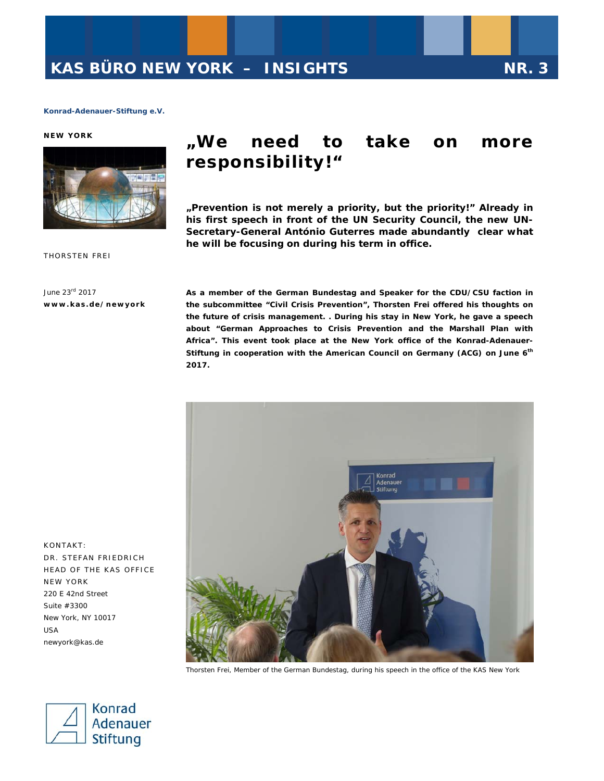#### **NEW YORK**



# **"We need to take on more responsibility!"**

*"Prevention is not merely a priority, but the priority!" Already in his first speech in front of the UN Security Council, the new UN-Secretary-General* **António Guterres made abundantly clear what he will be focusing on during his term in office.** 

THORSTEN FREI

June 23rd 2017 **www.kas.de/newyork**  **As a member of the German Bundestag and Speaker for the CDU/CSU faction in the subcommittee "Civil Crisis Prevention", Thorsten Frei offered his thoughts on the future of crisis management. . During his stay in New York, he gave a speech about "German Approaches to Crisis Prevention and the Marshall Plan with Africa". This event took place at the New York office of the Konrad-Adenauer-Stiftung in cooperation with the American Council on Germany (ACG) on June 6th 2017.** 



Thorsten Frei, Member of the German Bundestag, during his speech in the office of the KAS New York



KONTAKT: DR. STEFAN FRIEDRICH HEAD OF THE KAS OFFICE NEW YORK 220 E 42nd Street Suite #3300 New York, NY 10017 USA newyork@kas.de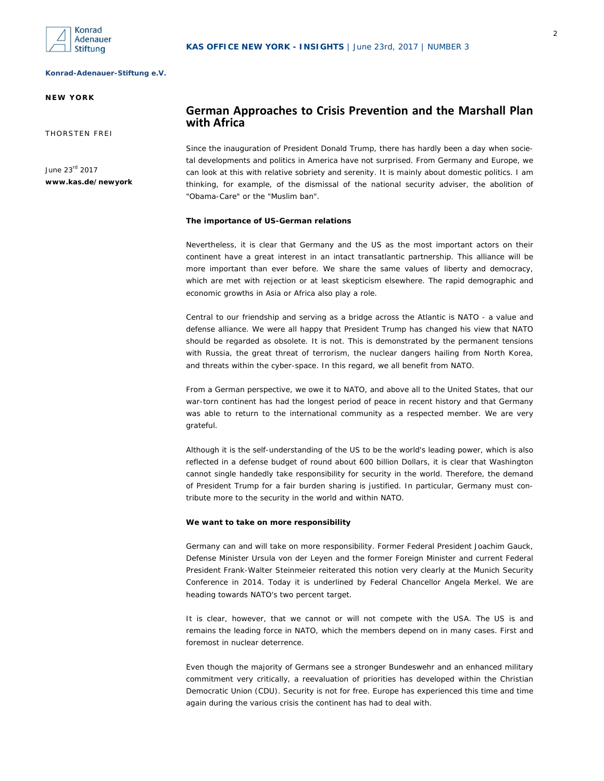

# **NEW YORK**

THORSTEN FREI

June 23rd 2017 **www.kas.de/newyork** 

# **German Approaches to Crisis Prevention and the Marshall Plan with Africa**

Since the inauguration of President Donald Trump, there has hardly been a day when societal developments and politics in America have not surprised. From Germany and Europe, we can look at this with relative sobriety and serenity. It is mainly about domestic politics. I am thinking, for example, of the dismissal of the national security adviser, the abolition of "Obama-Care" or the "Muslim ban".

# *The importance of US-German relations*

Nevertheless, it is clear that Germany and the US as the most important actors on their continent have a great interest in an intact transatlantic partnership. This alliance will be more important than ever before. We share the same values of liberty and democracy, which are met with rejection or at least skepticism elsewhere. The rapid demographic and economic growths in Asia or Africa also play a role.

Central to our friendship and serving as a bridge across the Atlantic is NATO - a value and defense alliance. We were all happy that President Trump has changed his view that NATO should be regarded as obsolete. It is not. This is demonstrated by the permanent tensions with Russia, the great threat of terrorism, the nuclear dangers hailing from North Korea, and threats within the cyber-space. In this regard, we all benefit from NATO.

From a German perspective, we owe it to NATO, and above all to the United States, that our war-torn continent has had the longest period of peace in recent history and that Germany was able to return to the international community as a respected member. We are very grateful.

Although it is the self-understanding of the US to be the world's leading power, which is also reflected in a defense budget of round about 600 billion Dollars, it is clear that Washington cannot single handedly take responsibility for security in the world. Therefore, the demand of President Trump for a fair burden sharing is justified. In particular, Germany must contribute more to the security in the world and within NATO.

#### *We want to take on more responsibility*

Germany can and will take on more responsibility. Former Federal President Joachim Gauck, Defense Minister Ursula von der Leyen and the former Foreign Minister and current Federal President Frank-Walter Steinmeier reiterated this notion very clearly at the Munich Security Conference in 2014. Today it is underlined by Federal Chancellor Angela Merkel. We are heading towards NATO's two percent target.

It is clear, however, that we cannot or will not compete with the USA. The US is and remains the leading force in NATO, which the members depend on in many cases. First and foremost in nuclear deterrence.

Even though the majority of Germans see a stronger Bundeswehr and an enhanced military commitment very critically, a reevaluation of priorities has developed within the Christian Democratic Union (CDU). Security is not for free. Europe has experienced this time and time again during the various crisis the continent has had to deal with.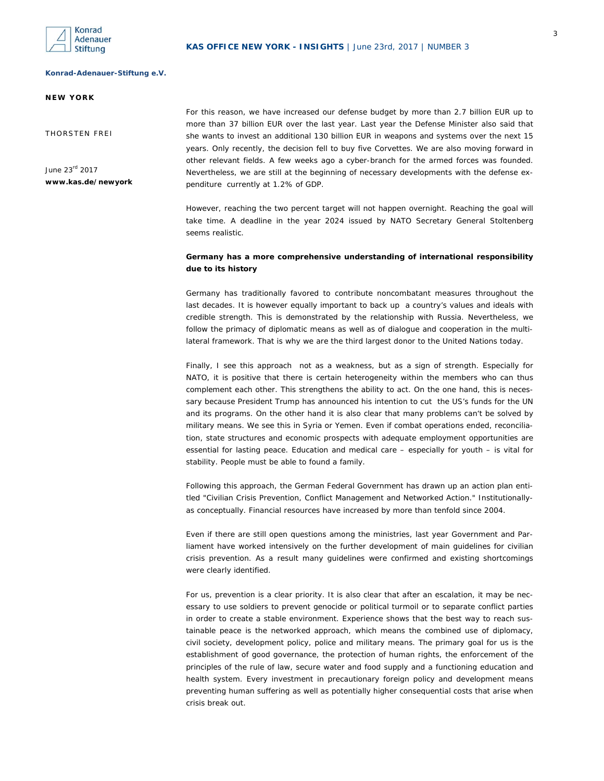

# **NEW YORK**

THORSTEN FREI

June 23rd 2017 **www.kas.de/newyork**  For this reason, we have increased our defense budget by more than 2.7 billion EUR up to more than 37 billion EUR over the last year. Last year the Defense Minister also said that she wants to invest an additional 130 billion EUR in weapons and systems over the next 15 years. Only recently, the decision fell to buy five Corvettes. We are also moving forward in other relevant fields. A few weeks ago a cyber-branch for the armed forces was founded. Nevertheless, we are still at the beginning of necessary developments with the defense expenditure currently at 1.2% of GDP.

However, reaching the two percent target will not happen overnight. Reaching the goal will take time. A deadline in the year 2024 issued by NATO Secretary General Stoltenberg seems realistic.

# *Germany has a more comprehensive understanding of international responsibility due to its history*

Germany has traditionally favored to contribute noncombatant measures throughout the last decades. It is however equally important to back up a country's values and ideals with credible strength. This is demonstrated by the relationship with Russia. Nevertheless, we follow the primacy of diplomatic means as well as of dialogue and cooperation in the multilateral framework. That is why we are the third largest donor to the United Nations today.

Finally, I see this approach not as a weakness, but as a sign of strength. Especially for NATO, it is positive that there is certain heterogeneity within the members who can thus complement each other. This strengthens the ability to act. On the one hand, this is necessary because President Trump has announced his intention to cut the US's funds for the UN and its programs. On the other hand it is also clear that many problems can't be solved by military means. We see this in Syria or Yemen. Even if combat operations ended, reconciliation, state structures and economic prospects with adequate employment opportunities are essential for lasting peace. Education and medical care – especially for youth – is vital for stability. People must be able to found a family.

Following this approach, the German Federal Government has drawn up an action plan entitled "Civilian Crisis Prevention, Conflict Management and Networked Action." Institutionallyas conceptually. Financial resources have increased by more than tenfold since 2004.

Even if there are still open questions among the ministries, last year Government and Parliament have worked intensively on the further development of main guidelines for civilian crisis prevention. As a result many guidelines were confirmed and existing shortcomings were clearly identified.

For us, prevention is a clear priority. It is also clear that after an escalation, it may be necessary to use soldiers to prevent genocide or political turmoil or to separate conflict parties in order to create a stable environment. Experience shows that the best way to reach sustainable peace is the networked approach, which means the combined use of diplomacy, civil society, development policy, police and military means. The primary goal for us is the establishment of good governance, the protection of human rights, the enforcement of the principles of the rule of law, secure water and food supply and a functioning education and health system. Every investment in precautionary foreign policy and development means preventing human suffering as well as potentially higher consequential costs that arise when crisis break out.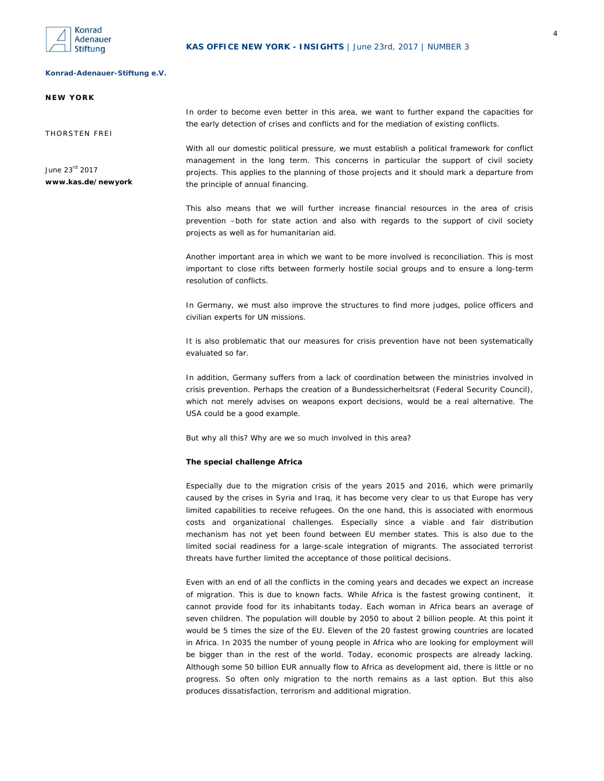

#### **NEW YORK**

THORSTEN FREI

June 23rd 2017 **www.kas.de/newyork**  In order to become even better in this area, we want to further expand the capacities for the early detection of crises and conflicts and for the mediation of existing conflicts.

With all our domestic political pressure, we must establish a political framework for conflict management in the long term. This concerns in particular the support of civil society projects. This applies to the planning of those projects and it should mark a departure from the principle of annual financing.

This also means that we will further increase financial resources in the area of crisis prevention –both for state action and also with regards to the support of civil society projects as well as for humanitarian aid.

Another important area in which we want to be more involved is reconciliation. This is most important to close rifts between formerly hostile social groups and to ensure a long-term resolution of conflicts.

In Germany, we must also improve the structures to find more judges, police officers and civilian experts for UN missions.

It is also problematic that our measures for crisis prevention have not been systematically evaluated so far.

In addition, Germany suffers from a lack of coordination between the ministries involved in crisis prevention. Perhaps the creation of a Bundessicherheitsrat (Federal Security Council), which not merely advises on weapons export decisions, would be a real alternative. The USA could be a good example.

But why all this? Why are we so much involved in this area?

#### *The special challenge Africa*

Especially due to the migration crisis of the years 2015 and 2016, which were primarily caused by the crises in Syria and Iraq, it has become very clear to us that Europe has very limited capabilities to receive refugees. On the one hand, this is associated with enormous costs and organizational challenges. Especially since a viable and fair distribution mechanism has not yet been found between EU member states. This is also due to the limited social readiness for a large-scale integration of migrants. The associated terrorist threats have further limited the acceptance of those political decisions.

Even with an end of all the conflicts in the coming years and decades we expect an increase of migration. This is due to known facts. While Africa is the fastest growing continent, it cannot provide food for its inhabitants today. Each woman in Africa bears an average of seven children. The population will double by 2050 to about 2 billion people. At this point it would be 5 times the size of the EU. Eleven of the 20 fastest growing countries are located in Africa. In 2035 the number of young people in Africa who are looking for employment will be bigger than in the rest of the world. Today, economic prospects are already lacking. Although some 50 billion EUR annually flow to Africa as development aid, there is little or no progress. So often only migration to the north remains as a last option. But this also produces dissatisfaction, terrorism and additional migration.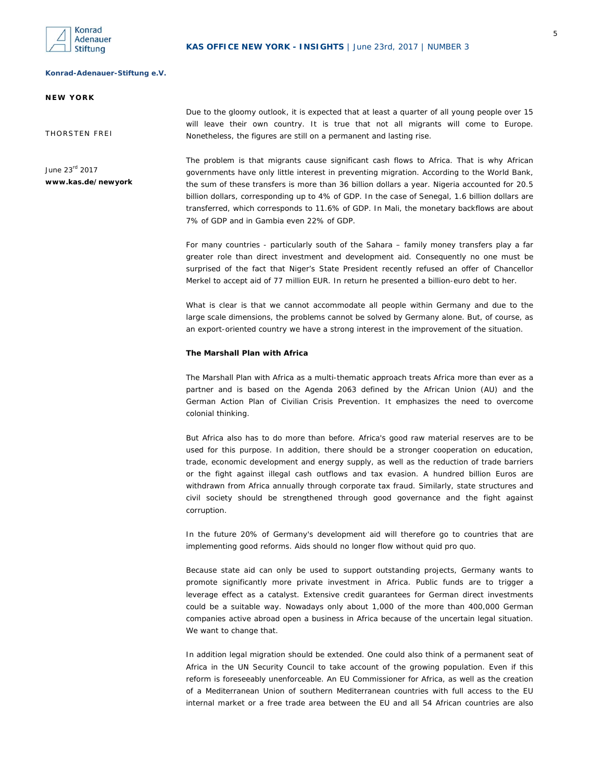

## **NEW YORK**

THORSTEN FREI

June 23rd 2017 **www.kas.de/newyork**  Due to the gloomy outlook, it is expected that at least a quarter of all young people over 15 will leave their own country. It is true that not all migrants will come to Europe. Nonetheless, the figures are still on a permanent and lasting rise.

The problem is that migrants cause significant cash flows to Africa. That is why African governments have only little interest in preventing migration. According to the World Bank, the sum of these transfers is more than 36 billion dollars a year. Nigeria accounted for 20.5 billion dollars, corresponding up to 4% of GDP. In the case of Senegal, 1.6 billion dollars are transferred, which corresponds to 11.6% of GDP. In Mali, the monetary backflows are about 7% of GDP and in Gambia even 22% of GDP.

For many countries - particularly south of the Sahara – family money transfers play a far greater role than direct investment and development aid. Consequently no one must be surprised of the fact that Niger's State President recently refused an offer of Chancellor Merkel to accept aid of 77 million EUR. In return he presented a billion-euro debt to her.

What is clear is that we cannot accommodate all people within Germany and due to the large scale dimensions, the problems cannot be solved by Germany alone. But, of course, as an export-oriented country we have a strong interest in the improvement of the situation.

## *The Marshall Plan with Africa*

The Marshall Plan with Africa as a multi-thematic approach treats Africa more than ever as a partner and is based on the Agenda 2063 defined by the African Union (AU) and the German Action Plan of Civilian Crisis Prevention. It emphasizes the need to overcome colonial thinking.

But Africa also has to do more than before. Africa's good raw material reserves are to be used for this purpose. In addition, there should be a stronger cooperation on education, trade, economic development and energy supply, as well as the reduction of trade barriers or the fight against illegal cash outflows and tax evasion. A hundred billion Euros are withdrawn from Africa annually through corporate tax fraud. Similarly, state structures and civil society should be strengthened through good governance and the fight against corruption.

In the future 20% of Germany's development aid will therefore go to countries that are implementing good reforms. Aids should no longer flow without quid pro quo.

Because state aid can only be used to support outstanding projects, Germany wants to promote significantly more private investment in Africa. Public funds are to trigger a leverage effect as a catalyst. Extensive credit guarantees for German direct investments could be a suitable way. Nowadays only about 1,000 of the more than 400,000 German companies active abroad open a business in Africa because of the uncertain legal situation. We want to change that.

In addition legal migration should be extended. One could also think of a permanent seat of Africa in the UN Security Council to take account of the growing population. Even if this reform is foreseeably unenforceable. An EU Commissioner for Africa, as well as the creation of a Mediterranean Union of southern Mediterranean countries with full access to the EU internal market or a free trade area between the EU and all 54 African countries are also